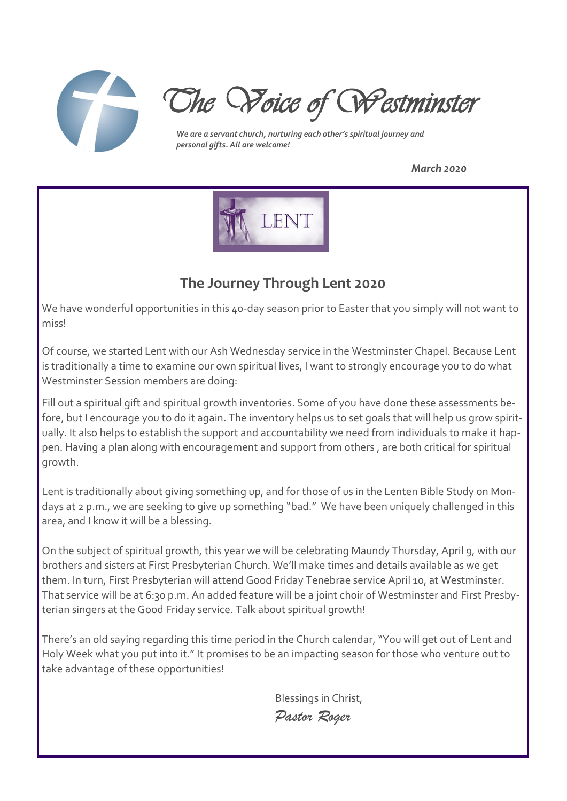

*The Voice of Westminster* 

*We are a servant church, nurturing each other's spiritual journey and personal gifts. All are welcome!*

*March 2020*



# **The Journey Through Lent 2020**

We have wonderful opportunities in this 40-day season prior to Easter that you simply will not want to miss!

Of course, we started Lent with our Ash Wednesday service in the Westminster Chapel. Because Lent is traditionally a time to examine our own spiritual lives, I want to strongly encourage you to do what Westminster Session members are doing:

Fill out a spiritual gift and spiritual growth inventories. Some of you have done these assessments before, but I encourage you to do it again. The inventory helps us to set goals that will help us grow spiritually. It also helps to establish the support and accountability we need from individuals to make it happen. Having a plan along with encouragement and support from others , are both critical for spiritual growth.

Lent is traditionally about giving something up, and for those of us in the Lenten Bible Study on Mondays at 2 p.m., we are seeking to give up something "bad." We have been uniquely challenged in this area, and I know it will be a blessing.

On the subject of spiritual growth, this year we will be celebrating Maundy Thursday, April 9, with our brothers and sisters at First Presbyterian Church. We'll make times and details available as we get them. In turn, First Presbyterian will attend Good Friday Tenebrae service April 10, at Westminster. That service will be at 6:30 p.m. An added feature will be a joint choir of Westminster and First Presbyterian singers at the Good Friday service. Talk about spiritual growth!

There's an old saying regarding this time period in the Church calendar, "You will get out of Lent and Holy Week what you put into it." It promises to be an impacting season for those who venture out to take advantage of these opportunities!

> Blessings in Christ, *Pastor Roger*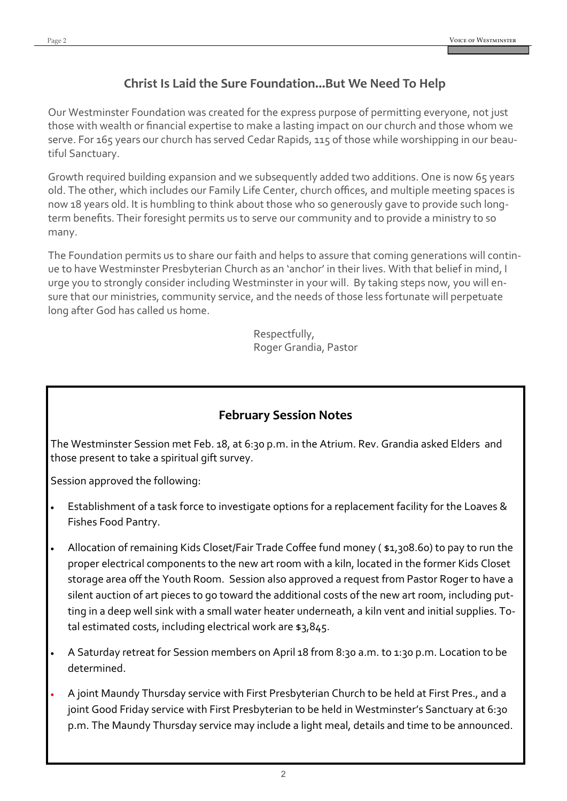# **Christ Is Laid the Sure Foundation...But We Need To Help**

Our Westminster Foundation was created for the express purpose of permitting everyone, not just those with wealth or financial expertise to make a lasting impact on our church and those whom we serve. For 165 years our church has served Cedar Rapids, 115 of those while worshipping in our beautiful Sanctuary.

Growth required building expansion and we subsequently added two additions. One is now 65 years old. The other, which includes our Family Life Center, church offices, and multiple meeting spaces is now 18 years old. It is humbling to think about those who so generously gave to provide such longterm benefits. Their foresight permits us to serve our community and to provide a ministry to so many.

The Foundation permits us to share our faith and helps to assure that coming generations will continue to have Westminster Presbyterian Church as an 'anchor' in their lives. With that belief in mind, I urge you to strongly consider including Westminster in your will. By taking steps now, you will ensure that our ministries, community service, and the needs of those less fortunate will perpetuate long after God has called us home.

> Respectfully, Roger Grandia, Pastor

# **February Session Notes**

The Westminster Session met Feb. 18, at 6:30 p.m. in the Atrium. Rev. Grandia asked Elders and those present to take a spiritual gift survey.

Session approved the following:

- Establishment of a task force to investigate options for a replacement facility for the Loaves & Fishes Food Pantry.
- Allocation of remaining Kids Closet/Fair Trade Coffee fund money ( \$1,308.60) to pay to run the proper electrical components to the new art room with a kiln, located in the former Kids Closet storage area off the Youth Room. Session also approved a request from Pastor Roger to have a silent auction of art pieces to go toward the additional costs of the new art room, including putting in a deep well sink with a small water heater underneath, a kiln vent and initial supplies. Total estimated costs, including electrical work are \$3,845.
- A Saturday retreat for Session members on April 18 from 8:30 a.m. to 1:30 p.m. Location to be determined.
- A joint Maundy Thursday service with First Presbyterian Church to be held at First Pres., and a joint Good Friday service with First Presbyterian to be held in Westminster's Sanctuary at 6:30 p.m. The Maundy Thursday service may include a light meal, details and time to be announced.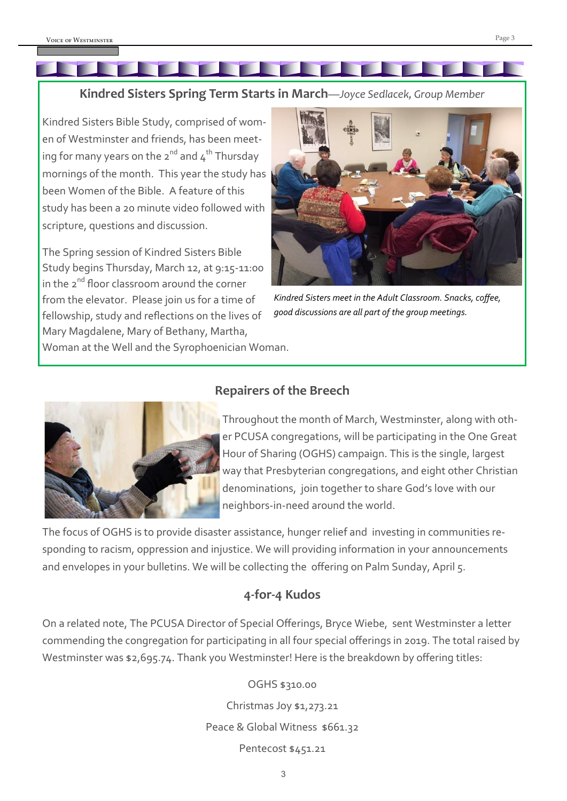# **Kindred Sisters Spring Term Starts in March***—Joyce Sedlacek, Group Member*

Kindred Sisters Bible Study, comprised of women of Westminster and friends, has been meeting for many years on the  $2^{nd}$  and  $4^{th}$  Thursday mornings of the month. This year the study has been Women of the Bible. A feature of this study has been a 20 minute video followed with scripture, questions and discussion.

The Spring session of Kindred Sisters Bible Study begins Thursday, March 12, at 9:15-11:00 in the  $2^{nd}$  floor classroom around the corner from the elevator. Please join us for a time of fellowship, study and reflections on the lives of Mary Magdalene, Mary of Bethany, Martha, Woman at the Well and the Syrophoenician Woman.



*Kindred Sisters meet in the Adult Classroom. Snacks, coffee, good discussions are all part of the group meetings.*



# **Repairers of the Breech**

Throughout the month of March, Westminster, along with other PCUSA congregations, will be participating in the One Great Hour of Sharing (OGHS) campaign. This is the single, largest way that Presbyterian congregations, and eight other Christian denominations, join together to share God's love with our neighbors-in-need around the world.

The focus of OGHS is to provide disaster assistance, hunger relief and investing in communities responding to racism, oppression and injustice. We will providing information in your announcements and envelopes in your bulletins. We will be collecting the offering on Palm Sunday, April 5.

# **4-for-4 Kudos**

On a related note, The PCUSA Director of Special Offerings, Bryce Wiebe, sent Westminster a letter commending the congregation for participating in all four special offerings in 2019. The total raised by Westminster was \$2,695.74. Thank you Westminster! Here is the breakdown by offering titles:

#### OGHS \$310.00

Christmas Joy \$1,273.21 Peace & Global Witness \$661.32 Pentecost \$451.21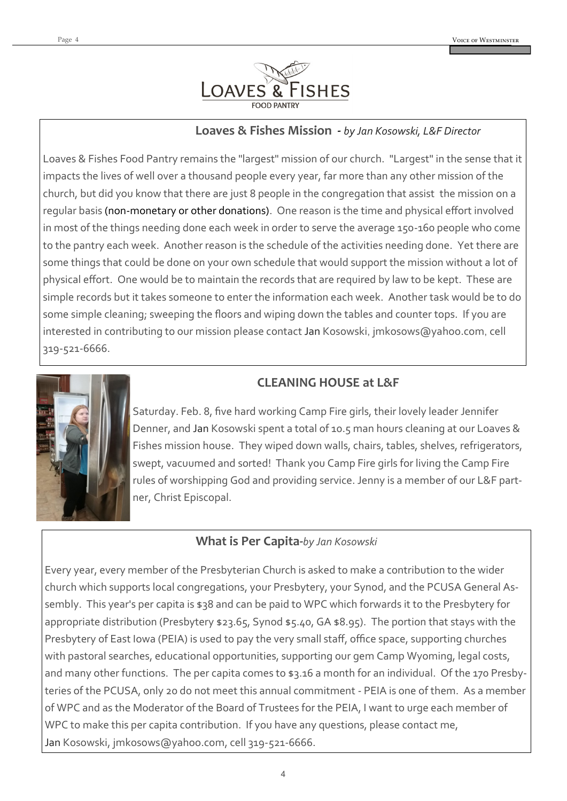

### **Loaves & Fishes Mission -** *by Jan Kosowski, L&F Director*

Loaves & Fishes Food Pantry remains the "largest" mission of our church. "Largest" in the sense that it impacts the lives of well over a thousand people every year, far more than any other mission of the church, but did you know that there are just 8 people in the congregation that assist the mission on a regular basis (non-monetary or other donations). One reason is the time and physical effort involved in most of the things needing done each week in order to serve the average 150-160 people who come to the pantry each week. Another reason is the schedule of the activities needing done. Yet there are some things that could be done on your own schedule that would support the mission without a lot of physical effort. One would be to maintain the records that are required by law to be kept. These are simple records but it takes someone to enter the information each week. Another task would be to do some simple cleaning; sweeping the floors and wiping down the tables and counter tops. If you are interested in contributing to our mission please contact Jan Kosowski, jmkosows@yahoo.com, cell 319-521-6666.



# **CLEANING HOUSE at L&F**

Saturday. Feb. 8, five hard working Camp Fire girls, their lovely leader Jennifer Denner, and Jan Kosowski spent a total of 10.5 man hours cleaning at our Loaves & Fishes mission house. They wiped down walls, chairs, tables, shelves, refrigerators, swept, vacuumed and sorted! Thank you Camp Fire girls for living the Camp Fire rules of worshipping God and providing service. Jenny is a member of our L&F partner, Christ Episcopal.

# **What is Per Capita-***by Jan Kosowski*

Every year, every member of the Presbyterian Church is asked to make a contribution to the wider church which supports local congregations, your Presbytery, your Synod, and the PCUSA General Assembly. This year's per capita is \$38 and can be paid to WPC which forwards it to the Presbytery for appropriate distribution (Presbytery \$23.65, Synod \$5.40, GA \$8.95). The portion that stays with the Presbytery of East Iowa (PEIA) is used to pay the very small staff, office space, supporting churches with pastoral searches, educational opportunities, supporting our gem Camp Wyoming, legal costs, and many other functions. The per capita comes to \$3.16 a month for an individual. Of the 170 Presbyteries of the PCUSA, only 20 do not meet this annual commitment - PEIA is one of them. As a member of WPC and as the Moderator of the Board of Trustees for the PEIA, I want to urge each member of WPC to make this per capita contribution. If you have any questions, please contact me, Jan Kosowski, jmkosows@yahoo.com, cell 319-521-6666.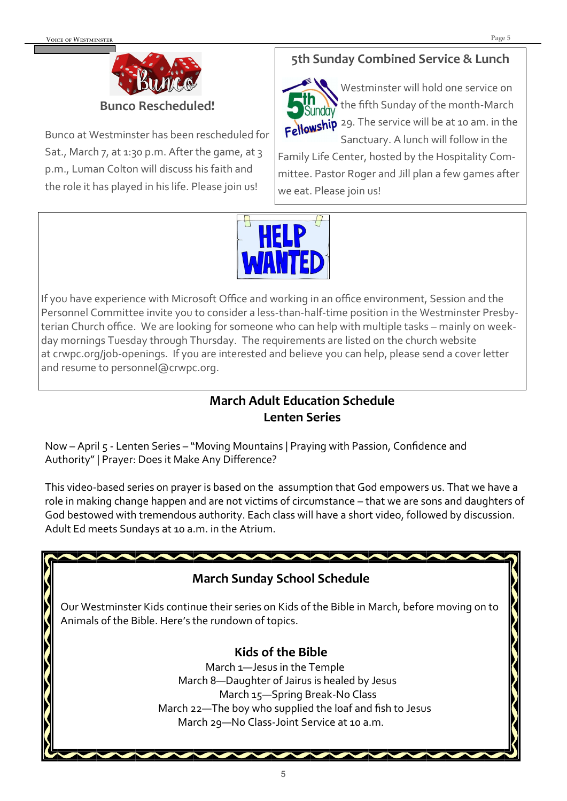

Bunco at Westminster has been rescheduled for Sat., March 7, at 1:30 p.m. After the game, at 3 p.m., Luman Colton will discuss his faith and the role it has played in his life. Please join us!

# **5th Sunday Combined Service & Lunch**



Westminster will hold one service on the fifth Sunday of the month-March Fellowship 29. The service will be at 10 am. in the Sanctuary. A lunch will follow in the

Family Life Center, hosted by the Hospitality Committee. Pastor Roger and Jill plan a few games after we eat. Please join us!



If you have experience with Microsoft Office and working in an office environment, Session and the Personnel Committee invite you to consider a less-than-half-time position in the Westminster Presbyterian Church office. We are looking for someone who can help with multiple tasks – mainly on weekday mornings Tuesday through Thursday. The requirements are listed on the church website at crwpc.org/job-openings. If you are interested and believe you can help, please send a cover letter and resume to personnel@crwpc.org.

# **March Adult Education Schedule Lenten Series**

Now – April 5 - Lenten Series – "Moving Mountains | Praying with Passion, Confidence and Authority" | Prayer: Does it Make Any Difference?

This video-based series on prayer is based on the assumption that God empowers us. That we have a role in making change happen and are not victims of circumstance – that we are sons and daughters of God bestowed with tremendous authority. Each class will have a short video, followed by discussion. Adult Ed meets Sundays at 10 a.m. in the Atrium.

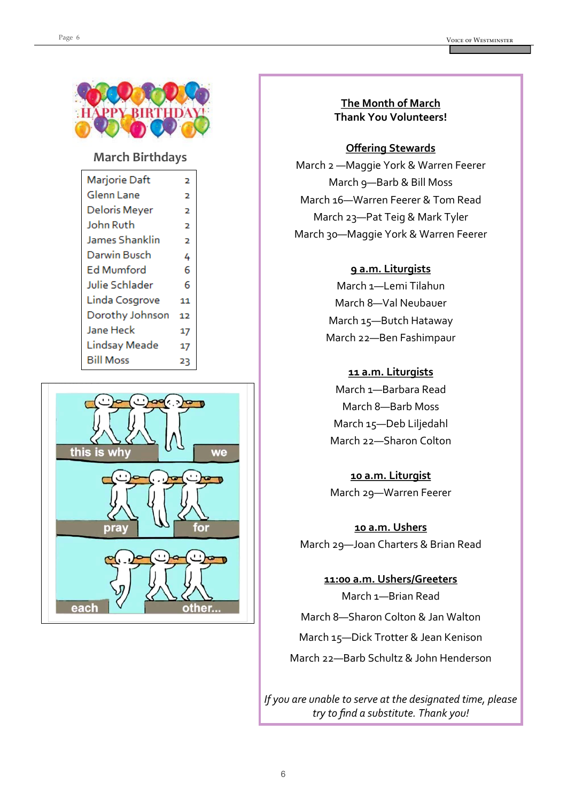

#### **March Birthdays**

| 2  |
|----|
| 2  |
| 2  |
| 2  |
| 2  |
| 4  |
| 6  |
| 6  |
| 11 |
| 12 |
| 17 |
| 17 |
| 23 |
|    |



### **The Month of March Thank You Volunteers!**

#### **Offering Stewards**

March 2 —Maggie York & Warren Feerer March 9—Barb & Bill Moss March 16—Warren Feerer & Tom Read March 23—Pat Teig & Mark Tyler March 30—Maggie York & Warren Feerer

#### **9 a.m. Liturgists**

March 1—Lemi Tilahun March 8—Val Neubauer March 15—Butch Hataway March 22—Ben Fashimpaur

#### **11 a.m. Liturgists**

March 1—Barbara Read March 8—Barb Moss March 15—Deb Liljedahl March 22—Sharon Colton

# **10 a.m. Liturgist** March 29—Warren Feerer

**10 a.m. Ushers** March 29—Joan Charters & Brian Read

**11:00 a.m. Ushers/Greeters** March 1—Brian Read March 8—Sharon Colton & Jan Walton

March 15—Dick Trotter & Jean Kenison

March 22—Barb Schultz & John Henderson

*If you are unable to serve at the designated time, please try to find a substitute. Thank you!*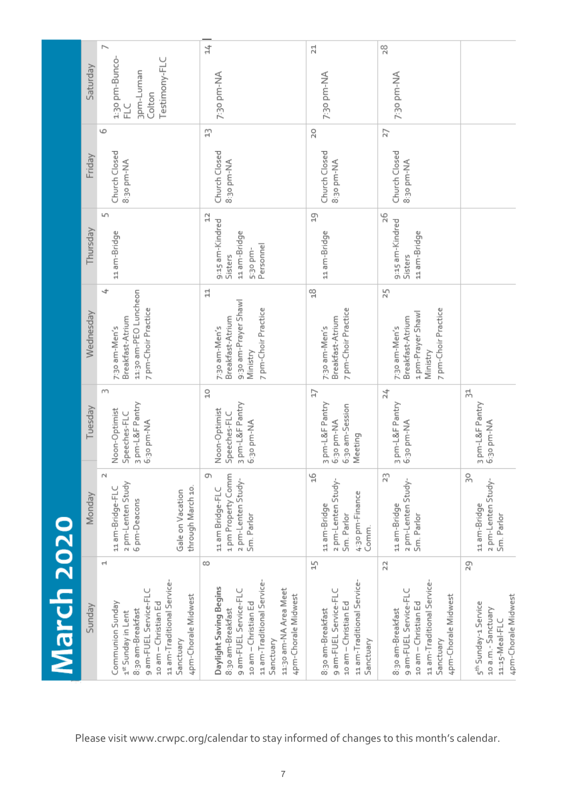|            | Saturday  | r,<br>1:30 pm-Bunco-<br>Testimony-FLC<br>3pm-Luman<br>Colton<br>FLC                                                                                                                 | $\overline{14}$<br>7:30 pm-NA                                                                                                                                                               | 21<br>7:30 pm-NA                                                                                                   | 28<br>7:30 pm-NA                                                                                                                          |                                                                                                         |
|------------|-----------|-------------------------------------------------------------------------------------------------------------------------------------------------------------------------------------|---------------------------------------------------------------------------------------------------------------------------------------------------------------------------------------------|--------------------------------------------------------------------------------------------------------------------|-------------------------------------------------------------------------------------------------------------------------------------------|---------------------------------------------------------------------------------------------------------|
|            |           | 6                                                                                                                                                                                   | H                                                                                                                                                                                           | 20                                                                                                                 | 27                                                                                                                                        |                                                                                                         |
| March 2020 | Friday    | Church Closed<br>8:30 pm-NA                                                                                                                                                         | Church Closed<br>8:30 pm-NA                                                                                                                                                                 | Church Closed<br>8:30 pm-NA                                                                                        | Church Closed<br>8:30 pm-NA                                                                                                               |                                                                                                         |
|            | Thursday  | 5<br>11 am-Bridge                                                                                                                                                                   | ₿<br>9:15 am-Kindred<br>11 am-Bridge<br>Personnel<br>5:30 pm-<br>Sisters                                                                                                                    | 5J<br>11 am-Bridge                                                                                                 | 26<br>9:15 am-Kindred<br>11 am-Bridge<br>Sisters                                                                                          |                                                                                                         |
|            | Wednesday | 4<br>11:30 am-PEO Luncheon<br>7 pm-Choir Practice<br>Breakfast-Atrium<br>7:30 am-Men's                                                                                              | 늽<br>9:30 am-Prayer Shawl<br>7 pm-Choir Practice<br>Breakfast-Atrium<br>7:30 am-Men's<br>Ministry                                                                                           | $\frac{8}{10}$<br>7 pm-Choir Practice<br>Breakfast-Atrium<br>7:30 am-Men's                                         | 25<br>7 pm-Choir Practice<br>1 pm-Prayer Shawl<br>Breakfast-Atrium<br>7:30 am-Men's<br>Ministry                                           |                                                                                                         |
|            | Tuesday   | m<br>3 pm-L&F Pantry<br>Noon-Optimist<br>Speeches-FLC<br>6:30 pm-NA                                                                                                                 | $\frac{0}{10}$<br>3 pm-L&F Pantry<br>Noon-Optimist<br>Speeches-FLC<br>6:30 pm-NA                                                                                                            | Ħ<br>3 pm-L&F Pantry<br>6:30 am-Session<br>6:30 pm-NA<br>Meeting                                                   | 24<br>3 pm-L&F Pantry<br>6:30 pm-NA                                                                                                       | 놖<br>3 pm-L&F Pantry<br>6:30 pm-NA                                                                      |
|            | Monday    | $\sim$<br>2 pm-Lenten Study<br>through March 10.<br>11 am-Bridge-FLC<br>Gale on Vacation<br>6 pm-Deacons                                                                            | ጣ<br>1 pm Property Comm<br>2 pm-Lenten Study-<br>11 am Bridge-FLC<br>Sm. Parlor                                                                                                             | $\frac{6}{1}$<br>2 pm-Lenten Study-<br>4:30 pm-Finance<br>11 am-Bridge<br>Sm. Parlor<br>Comm.                      | 53<br>2 pm-Lenten Study-<br>11 am-Bridge<br>Sm. Parlor                                                                                    | Ŗ,<br>2 pm-Lenten Study-<br>11 am-Bridge<br>Sm. Parlor                                                  |
|            | Sunday    | Ч<br>11 am-Traditional Service-<br>9 am-FUEL Service-FLC<br>4pm-Chorale Midwest<br>Communion Sunday<br>10 am - Christian Ed<br>8:30 am-Breakfast<br>1st Sunday in Lent<br>Sanctuary | ∞<br>11 am-Traditional Service-<br>Daylight Saving Begins<br>11:30 am-NA Area Meet<br>4pm-Chorale Midwest<br>9 am-FUEL Service-FL<br>10 am - Christian Ed<br>8:30 am-Breakfast<br>Sanctuary | 45<br>11 am-Traditional Service-<br>9 am-FUEL Service-FL<br>10 am - Christian Ed<br>8:30 am-Breakfast<br>Sanctuary | R<br>11 am-Traditional Service-<br>9 am-FUEL Service-FLC<br>4pm-Chorale Midwest<br>10 am - Christian Ed<br>8:30 am-Breakfast<br>Sanctuary | 29<br>4pm-Chorale Midwest<br>5 <sup>th</sup> Sunday-1 Service<br>10 a.m.- Sanctuary<br>$11:15-Meal-FLC$ |

Please visit www.crwpc.org/calendar to stay informed of changes to this month's calendar.